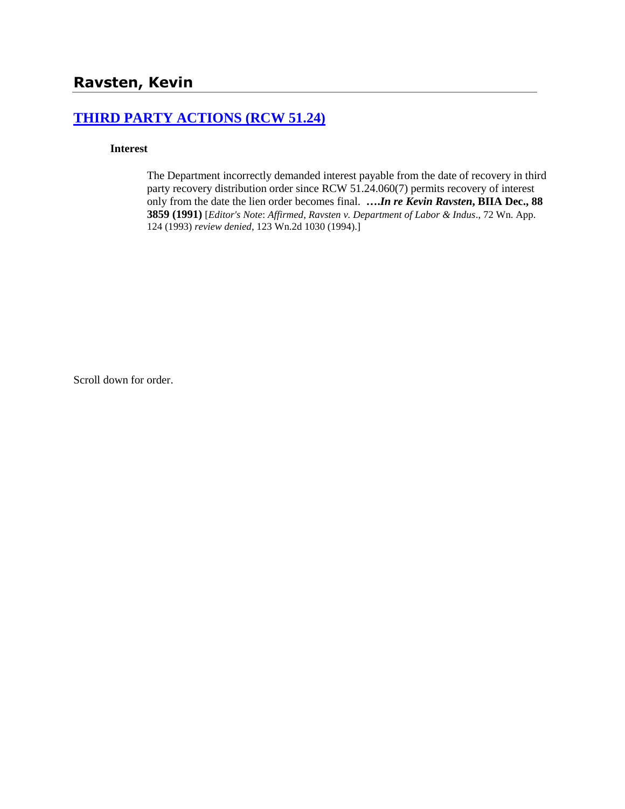## **[THIRD PARTY ACTIONS \(RCW 51.24\)](http://www.biia.wa.gov/SDSubjectIndex.html#THIRD_PARTY_ACTIONS)**

#### **Interest**

The Department incorrectly demanded interest payable from the date of recovery in third party recovery distribution order since RCW 51.24.060(7) permits recovery of interest only from the date the lien order becomes final. **….***In re Kevin Ravsten***, BIIA Dec., 88 3859 (1991)** [*Editor's Note*: *Affirmed*, *Ravsten v. Department of Labor & Indus*., 72 Wn. App. 124 (1993) *review denied*, 123 Wn.2d 1030 (1994).]

Scroll down for order.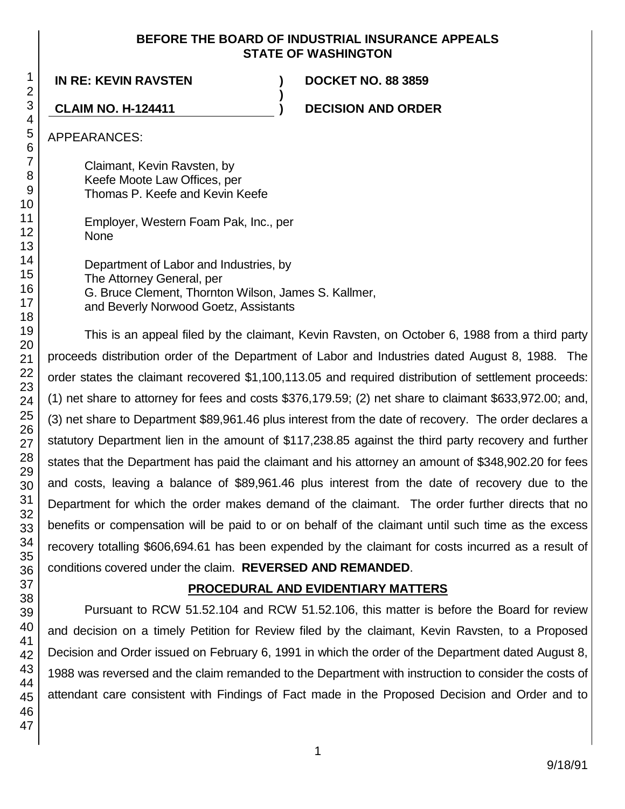#### **BEFORE THE BOARD OF INDUSTRIAL INSURANCE APPEALS STATE OF WASHINGTON**

**)**

**IN RE: KEVIN RAVSTEN ) DOCKET NO. 88 3859**

**CLAIM NO. H-124411 ) DECISION AND ORDER**

APPEARANCES:

Claimant, Kevin Ravsten, by Keefe Moote Law Offices, per Thomas P. Keefe and Kevin Keefe

Employer, Western Foam Pak, Inc., per None

Department of Labor and Industries, by The Attorney General, per G. Bruce Clement, Thornton Wilson, James S. Kallmer, and Beverly Norwood Goetz, Assistants

This is an appeal filed by the claimant, Kevin Ravsten, on October 6, 1988 from a third party proceeds distribution order of the Department of Labor and Industries dated August 8, 1988. The order states the claimant recovered \$1,100,113.05 and required distribution of settlement proceeds: (1) net share to attorney for fees and costs \$376,179.59; (2) net share to claimant \$633,972.00; and, (3) net share to Department \$89,961.46 plus interest from the date of recovery. The order declares a statutory Department lien in the amount of \$117,238.85 against the third party recovery and further states that the Department has paid the claimant and his attorney an amount of \$348,902.20 for fees and costs, leaving a balance of \$89,961.46 plus interest from the date of recovery due to the Department for which the order makes demand of the claimant. The order further directs that no benefits or compensation will be paid to or on behalf of the claimant until such time as the excess recovery totalling \$606,694.61 has been expended by the claimant for costs incurred as a result of conditions covered under the claim. **REVERSED AND REMANDED**.

# **PROCEDURAL AND EVIDENTIARY MATTERS**

Pursuant to RCW 51.52.104 and RCW 51.52.106, this matter is before the Board for review and decision on a timely Petition for Review filed by the claimant, Kevin Ravsten, to a Proposed Decision and Order issued on February 6, 1991 in which the order of the Department dated August 8, 1988 was reversed and the claim remanded to the Department with instruction to consider the costs of attendant care consistent with Findings of Fact made in the Proposed Decision and Order and to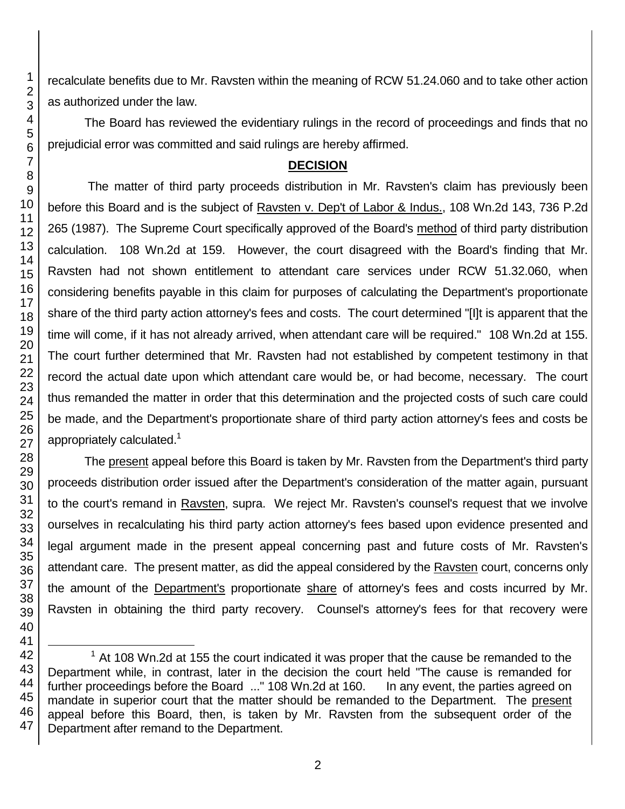recalculate benefits due to Mr. Ravsten within the meaning of RCW 51.24.060 and to take other action as authorized under the law.

The Board has reviewed the evidentiary rulings in the record of proceedings and finds that no prejudicial error was committed and said rulings are hereby affirmed.

### **DECISION**

The matter of third party proceeds distribution in Mr. Ravsten's claim has previously been before this Board and is the subject of Ravsten v. Dep't of Labor & Indus., 108 Wn.2d 143, 736 P.2d 265 (1987). The Supreme Court specifically approved of the Board's method of third party distribution calculation. 108 Wn.2d at 159. However, the court disagreed with the Board's finding that Mr. Ravsten had not shown entitlement to attendant care services under RCW 51.32.060, when considering benefits payable in this claim for purposes of calculating the Department's proportionate share of the third party action attorney's fees and costs. The court determined "[I]t is apparent that the time will come, if it has not already arrived, when attendant care will be required." 108 Wn.2d at 155. The court further determined that Mr. Ravsten had not established by competent testimony in that record the actual date upon which attendant care would be, or had become, necessary. The court thus remanded the matter in order that this determination and the projected costs of such care could be made, and the Department's proportionate share of third party action attorney's fees and costs be appropriately calculated.<sup>1</sup>

The present appeal before this Board is taken by Mr. Ravsten from the Department's third party proceeds distribution order issued after the Department's consideration of the matter again, pursuant to the court's remand in Ravsten, supra. We reject Mr. Ravsten's counsel's request that we involve ourselves in recalculating his third party action attorney's fees based upon evidence presented and legal argument made in the present appeal concerning past and future costs of Mr. Ravsten's attendant care. The present matter, as did the appeal considered by the Ravsten court, concerns only the amount of the Department's proportionate share of attorney's fees and costs incurred by Mr. Ravsten in obtaining the third party recovery. Counsel's attorney's fees for that recovery were

 At 108 Wn.2d at 155 the court indicated it was proper that the cause be remanded to the Department while, in contrast, later in the decision the court held "The cause is remanded for further proceedings before the Board ..." 108 Wn.2d at 160. In any event, the parties agreed on mandate in superior court that the matter should be remanded to the Department. The present appeal before this Board, then, is taken by Mr. Ravsten from the subsequent order of the Department after remand to the Department.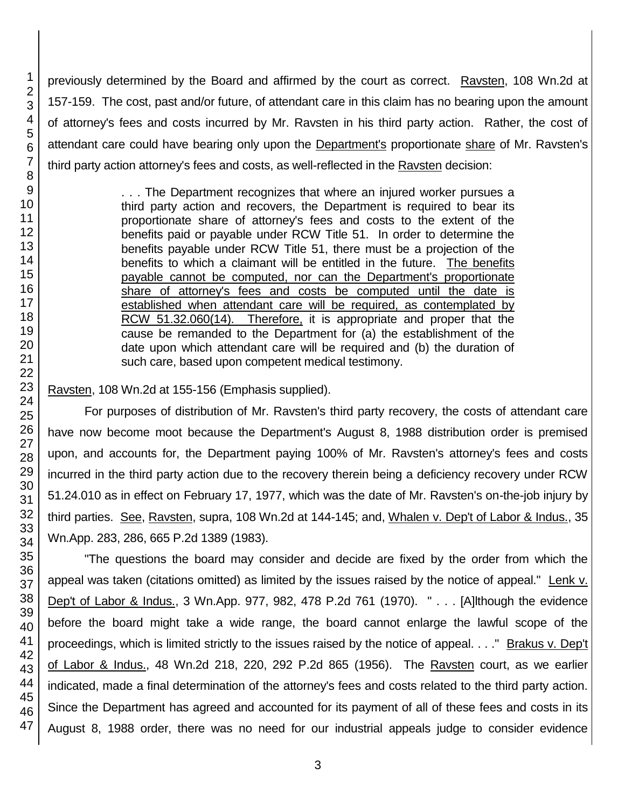previously determined by the Board and affirmed by the court as correct. Ravsten, 108 Wn.2d at 157-159. The cost, past and/or future, of attendant care in this claim has no bearing upon the amount of attorney's fees and costs incurred by Mr. Ravsten in his third party action. Rather, the cost of attendant care could have bearing only upon the Department's proportionate share of Mr. Ravsten's third party action attorney's fees and costs, as well-reflected in the Ravsten decision:

> . . . The Department recognizes that where an injured worker pursues a third party action and recovers, the Department is required to bear its proportionate share of attorney's fees and costs to the extent of the benefits paid or payable under RCW Title 51. In order to determine the benefits payable under RCW Title 51, there must be a projection of the benefits to which a claimant will be entitled in the future. The benefits payable cannot be computed, nor can the Department's proportionate share of attorney's fees and costs be computed until the date is established when attendant care will be required, as contemplated by RCW 51.32.060(14). Therefore, it is appropriate and proper that the cause be remanded to the Department for (a) the establishment of the date upon which attendant care will be required and (b) the duration of such care, based upon competent medical testimony.

Ravsten, 108 Wn.2d at 155-156 (Emphasis supplied).

For purposes of distribution of Mr. Ravsten's third party recovery, the costs of attendant care have now become moot because the Department's August 8, 1988 distribution order is premised upon, and accounts for, the Department paying 100% of Mr. Ravsten's attorney's fees and costs incurred in the third party action due to the recovery therein being a deficiency recovery under RCW 51.24.010 as in effect on February 17, 1977, which was the date of Mr. Ravsten's on-the-job injury by third parties. See, Raysten, supra, 108 Wn.2d at 144-145; and, Whalen v. Dep't of Labor & Indus., 35 Wn.App. 283, 286, 665 P.2d 1389 (1983).

"The questions the board may consider and decide are fixed by the order from which the appeal was taken (citations omitted) as limited by the issues raised by the notice of appeal." Lenk v. Dep't of Labor & Indus., 3 Wn.App. 977, 982, 478 P.2d 761 (1970). " . . . [A]lthough the evidence before the board might take a wide range, the board cannot enlarge the lawful scope of the proceedings, which is limited strictly to the issues raised by the notice of appeal. . . ." Brakus v. Dep't of Labor & Indus., 48 Wn.2d 218, 220, 292 P.2d 865 (1956). The Ravsten court, as we earlier indicated, made a final determination of the attorney's fees and costs related to the third party action. Since the Department has agreed and accounted for its payment of all of these fees and costs in its August 8, 1988 order, there was no need for our industrial appeals judge to consider evidence

1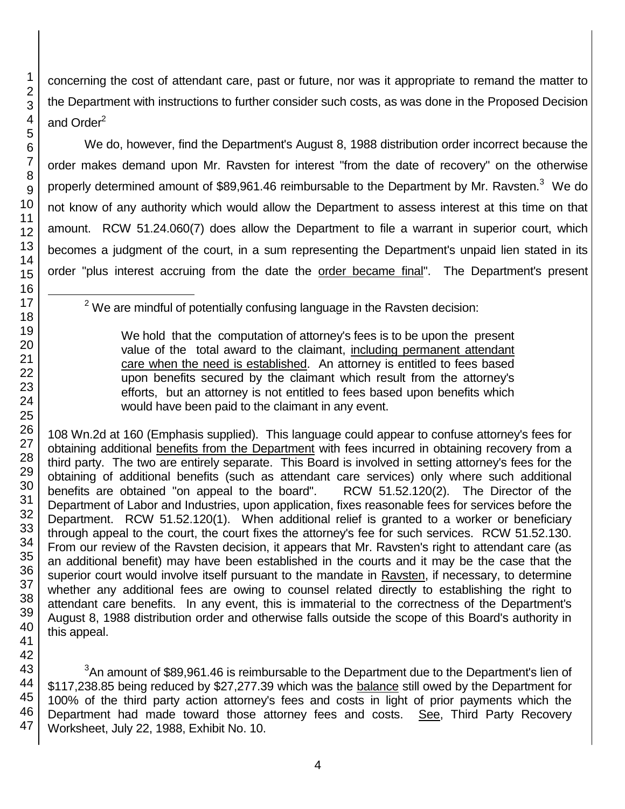1

concerning the cost of attendant care, past or future, nor was it appropriate to remand the matter to the Department with instructions to further consider such costs, as was done in the Proposed Decision and Order<sup>2</sup>

We do, however, find the Department's August 8, 1988 distribution order incorrect because the order makes demand upon Mr. Ravsten for interest "from the date of recovery" on the otherwise properly determined amount of \$89,961.46 reimbursable to the Department by Mr. Ravsten.<sup>3</sup> We do not know of any authority which would allow the Department to assess interest at this time on that amount. RCW 51.24.060(7) does allow the Department to file a warrant in superior court, which becomes a judgment of the court, in a sum representing the Department's unpaid lien stated in its order "plus interest accruing from the date the order became final". The Department's present

 $2$  We are mindful of potentially confusing language in the Ravsten decision:

We hold that the computation of attorney's fees is to be upon the present value of the total award to the claimant, including permanent attendant care when the need is established. An attorney is entitled to fees based upon benefits secured by the claimant which result from the attorney's efforts, but an attorney is not entitled to fees based upon benefits which would have been paid to the claimant in any event.

108 Wn.2d at 160 (Emphasis supplied). This language could appear to confuse attorney's fees for obtaining additional benefits from the Department with fees incurred in obtaining recovery from a third party. The two are entirely separate. This Board is involved in setting attorney's fees for the obtaining of additional benefits (such as attendant care services) only where such additional benefits are obtained "on appeal to the board". RCW 51.52.120(2). The Director of the Department of Labor and Industries, upon application, fixes reasonable fees for services before the Department. RCW 51.52.120(1). When additional relief is granted to a worker or beneficiary through appeal to the court, the court fixes the attorney's fee for such services. RCW 51.52.130. From our review of the Ravsten decision, it appears that Mr. Ravsten's right to attendant care (as an additional benefit) may have been established in the courts and it may be the case that the superior court would involve itself pursuant to the mandate in Ravsten, if necessary, to determine whether any additional fees are owing to counsel related directly to establishing the right to attendant care benefits. In any event, this is immaterial to the correctness of the Department's August 8, 1988 distribution order and otherwise falls outside the scope of this Board's authority in this appeal.

45 46 47 <sup>3</sup>An amount of \$89,961.46 is reimbursable to the Department due to the Department's lien of \$117,238.85 being reduced by \$27,277.39 which was the balance still owed by the Department for 100% of the third party action attorney's fees and costs in light of prior payments which the Department had made toward those attorney fees and costs. See, Third Party Recovery Worksheet, July 22, 1988, Exhibit No. 10.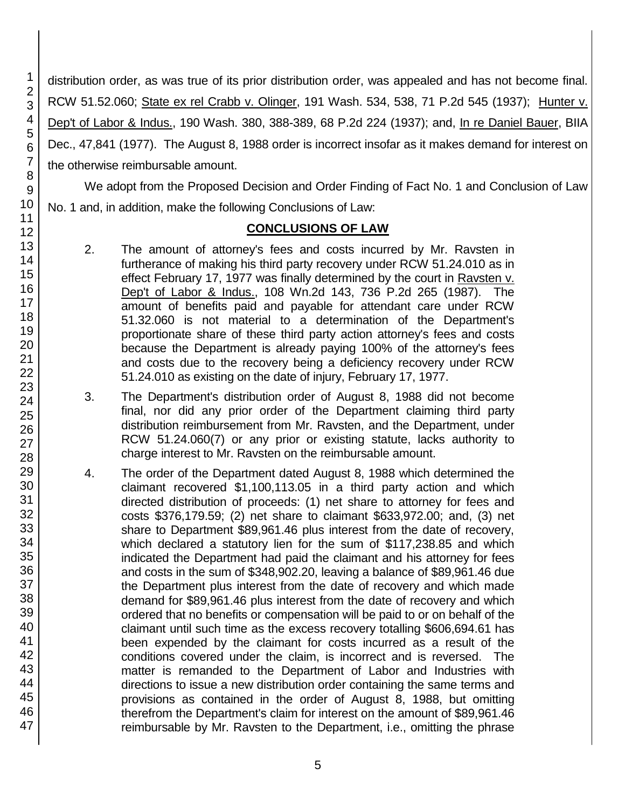distribution order, as was true of its prior distribution order, was appealed and has not become final. RCW 51.52.060; State ex rel Crabb v. Olinger, 191 Wash. 534, 538, 71 P.2d 545 (1937); Hunter v. Dep't of Labor & Indus., 190 Wash. 380, 388-389, 68 P.2d 224 (1937); and, In re Daniel Bauer, BIIA Dec., 47,841 (1977). The August 8, 1988 order is incorrect insofar as it makes demand for interest on the otherwise reimbursable amount.

We adopt from the Proposed Decision and Order Finding of Fact No. 1 and Conclusion of Law No. 1 and, in addition, make the following Conclusions of Law:

#### **CONCLUSIONS OF LAW**

- 2. The amount of attorney's fees and costs incurred by Mr. Ravsten in furtherance of making his third party recovery under RCW 51.24.010 as in effect February 17, 1977 was finally determined by the court in Ravsten v. Dep't of Labor & Indus., 108 Wn.2d 143, 736 P.2d 265 (1987). The amount of benefits paid and payable for attendant care under RCW 51.32.060 is not material to a determination of the Department's proportionate share of these third party action attorney's fees and costs because the Department is already paying 100% of the attorney's fees and costs due to the recovery being a deficiency recovery under RCW 51.24.010 as existing on the date of injury, February 17, 1977.
- 3. The Department's distribution order of August 8, 1988 did not become final, nor did any prior order of the Department claiming third party distribution reimbursement from Mr. Ravsten, and the Department, under RCW 51.24.060(7) or any prior or existing statute, lacks authority to charge interest to Mr. Ravsten on the reimbursable amount.
- 4. The order of the Department dated August 8, 1988 which determined the claimant recovered \$1,100,113.05 in a third party action and which directed distribution of proceeds: (1) net share to attorney for fees and costs \$376,179.59; (2) net share to claimant \$633,972.00; and, (3) net share to Department \$89,961.46 plus interest from the date of recovery, which declared a statutory lien for the sum of \$117,238.85 and which indicated the Department had paid the claimant and his attorney for fees and costs in the sum of \$348,902.20, leaving a balance of \$89,961.46 due the Department plus interest from the date of recovery and which made demand for \$89,961.46 plus interest from the date of recovery and which ordered that no benefits or compensation will be paid to or on behalf of the claimant until such time as the excess recovery totalling \$606,694.61 has been expended by the claimant for costs incurred as a result of the conditions covered under the claim, is incorrect and is reversed. The matter is remanded to the Department of Labor and Industries with directions to issue a new distribution order containing the same terms and provisions as contained in the order of August 8, 1988, but omitting therefrom the Department's claim for interest on the amount of \$89,961.46 reimbursable by Mr. Ravsten to the Department, i.e., omitting the phrase